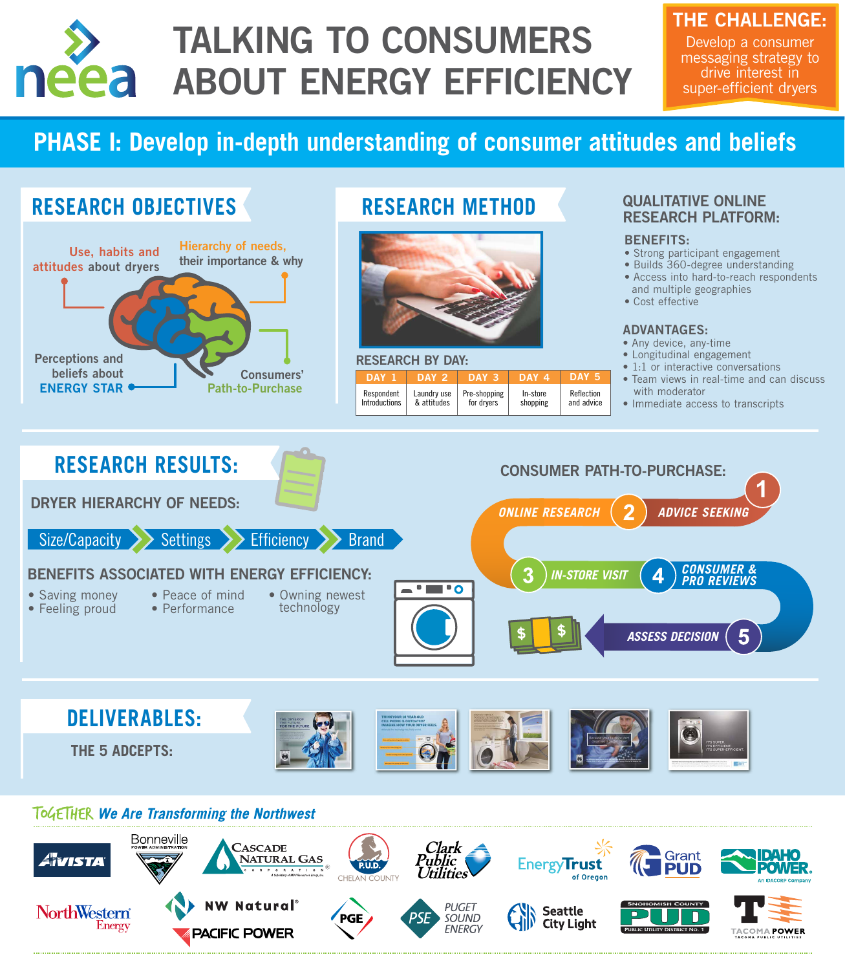#### QUALITATIVE ONLINE RESEARCH PLATFORM:

#### BENEFITS:

- Any device, any-time
- Longitudinal engagement
- 1:1 or interactive conversations
- Team views in real-time and can discuss

| . |  |  | $\blacksquare$ General Common Contracts in the common contracts of the common contracts of the common contracts of the common contracts of the common common common common common common common common common common common common co |  |
|---|--|--|---------------------------------------------------------------------------------------------------------------------------------------------------------------------------------------------------------------------------------------|--|
|   |  |  |                                                                                                                                                                                                                                       |  |
|   |  |  |                                                                                                                                                                                                                                       |  |

with moderator

- Strong participant engagement
- Builds 360-degree understanding
- Access into hard-to-reach respondents and multiple geographies
- Cost effective

#### RESEARCH BY DAY:

#### ADVANTAGES:

• Immediate access to transcripts

| DAY 1                | DAY 2       | DAY 3        | <b>DAY 4</b> | DAY 5      |
|----------------------|-------------|--------------|--------------|------------|
| Respondent           | Laundry use | Pre-shopping | In-store     | Reflection |
| <b>Introductions</b> | & attitudes | for dryers   | shopping     | and advice |

# **PHASE I: Develop in-depth understanding of consumer attitudes and beliefs**



#### **ToGETHER We Are Transforming the Northwest**





# TALKING TO CONSUMERS neea ABOUT ENERGY EFFICIENCY

### THE CHALLENGE:

Develop a consumer messaging strategy to drive interest in super-efficient dryers

## **RESEARCH OBJECTIVES**

## **RESEARCH METHOD**